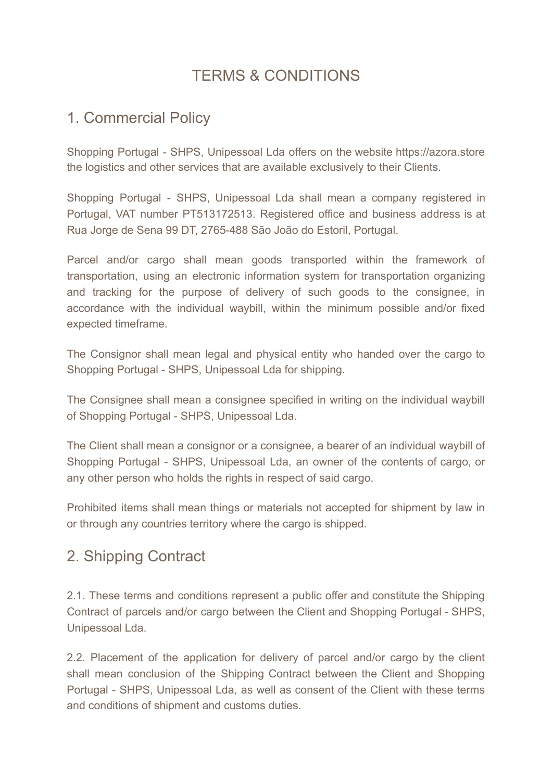# TERMS & CONDITIONS

# 1. Commercial Policy

Shopping Portugal - SHPS, Unipessoal Lda offers on the website https://azora.store the logistics and other services that are available exclusively to their Clients.

Shopping Portugal - SHPS, Unipessoal Lda shall mean a company registered in Portugal, VAT number PT513172513. Registered office and business address is at Rua Jorge de Sena 99 DT, 2765-488 São João do Estoril, Portugal.

Parcel and/or cargo shall mean goods transported within the framework of transportation, using an electronic information system for transportation organizing and tracking for the purpose of delivery of such goods to the consignee, in accordance with the individual waybill, within the minimum possible and/or fixed expected timeframe.

The Consignor shall mean legal and physical entity who handed over the cargo to Shopping Portugal - SHPS, Unipessoal Lda for shipping.

The Consignee shall mean a consignee specified in writing on the individual waybill of Shopping Portugal - SHPS, Unipessoal Lda.

The Client shall mean a consignor or a consignee, a bearer of an individual waybill of Shopping Portugal - SHPS, Unipessoal Lda, an owner of the contents of cargo, or any other person who holds the rights in respect of said cargo.

Prohibited items shall mean things or materials not accepted for shipment by law in or through any countries territory where the cargo is shipped.

# 2. Shipping Contract

2.1. These terms and conditions represent a public offer and constitute the Shipping Contract of parcels and/or cargo between the Client and Shopping Portugal - SHPS, Unipessoal Lda.

2.2. Placement of the application for delivery of parcel and/or cargo by the client shall mean conclusion of the Shipping Contract between the Client and Shopping Portugal - SHPS, Unipessoal Lda, as well as consent of the Client with these terms and conditions of shipment and customs duties.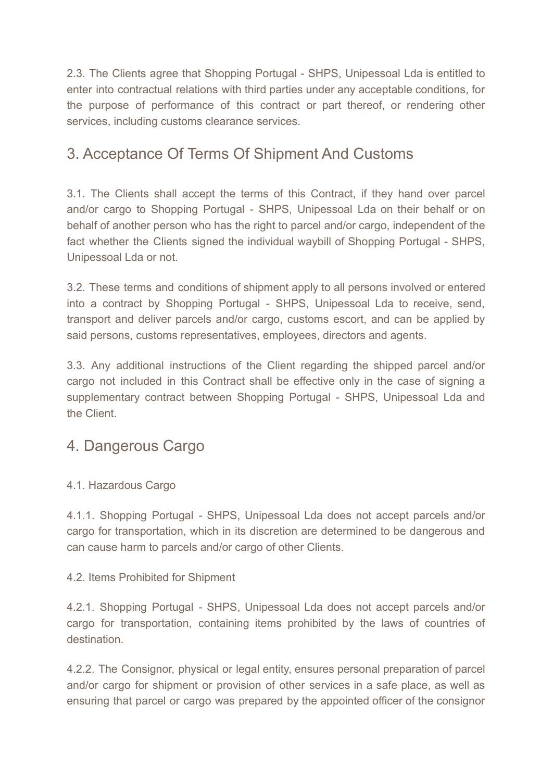2.3. The Clients agree that Shopping Portugal - SHPS, Unipessoal Lda is entitled to enter into contractual relations with third parties under any acceptable conditions, for the purpose of performance of this contract or part thereof, or rendering other services, including customs clearance services.

# 3. Acceptance Of Terms Of Shipment And Customs

3.1. The Clients shall accept the terms of this Contract, if they hand over parcel and/or cargo to Shopping Portugal - SHPS, Unipessoal Lda on their behalf or on behalf of another person who has the right to parcel and/or cargo, independent of the fact whether the Clients signed the individual waybill of Shopping Portugal - SHPS, Unipessoal Lda or not.

3.2. These terms and conditions of shipment apply to all persons involved or entered into a contract by Shopping Portugal - SHPS, Unipessoal Lda to receive, send, transport and deliver parcels and/or cargo, customs escort, and can be applied by said persons, customs representatives, employees, directors and agents.

3.3. Any additional instructions of the Client regarding the shipped parcel and/or cargo not included in this Contract shall be effective only in the case of signing a supplementary contract between Shopping Portugal - SHPS, Unipessoal Lda and the Client.

#### 4. Dangerous Cargo

#### 4.1. Hazardous Cargo

4.1.1. Shopping Portugal - SHPS, Unipessoal Lda does not accept parcels and/or cargo for transportation, which in its discretion are determined to be dangerous and can cause harm to parcels and/or cargo of other Clients.

#### 4.2. Items Prohibited for Shipment

4.2.1. Shopping Portugal - SHPS, Unipessoal Lda does not accept parcels and/or cargo for transportation, containing items prohibited by the laws of countries of destination.

4.2.2. The Consignor, physical or legal entity, ensures personal preparation of parcel and/or cargo for shipment or provision of other services in a safe place, as well as ensuring that parcel or cargo was prepared by the appointed officer of the consignor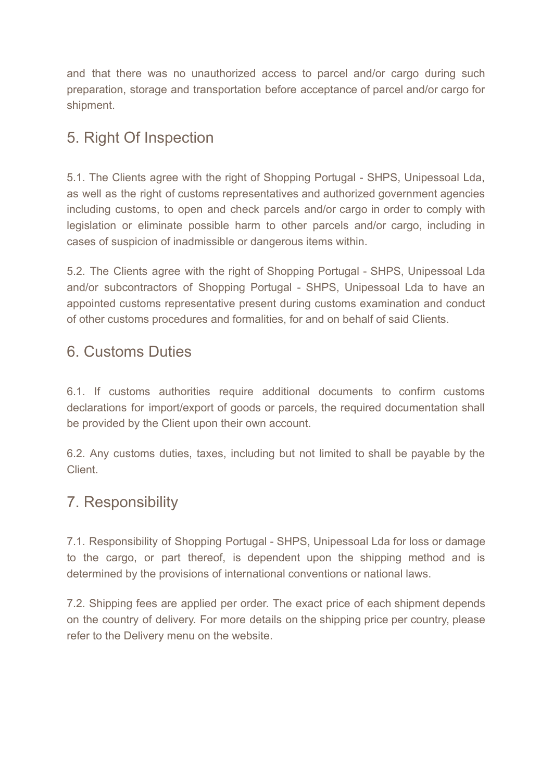and that there was no unauthorized access to parcel and/or cargo during such preparation, storage and transportation before acceptance of parcel and/or cargo for shipment.

# 5. Right Of Inspection

5.1. The Clients agree with the right of Shopping Portugal - SHPS, Unipessoal Lda, as well as the right of customs representatives and authorized government agencies including customs, to open and check parcels and/or cargo in order to comply with legislation or eliminate possible harm to other parcels and/or cargo, including in cases of suspicion of inadmissible or dangerous items within.

5.2. The Clients agree with the right of Shopping Portugal - SHPS, Unipessoal Lda and/or subcontractors of Shopping Portugal - SHPS, Unipessoal Lda to have an appointed customs representative present during customs examination and conduct of other customs procedures and formalities, for and on behalf of said Clients.

#### 6. Customs Duties

6.1. If customs authorities require additional documents to confirm customs declarations for import/export of goods or parcels, the required documentation shall be provided by the Client upon their own account.

6.2. Any customs duties, taxes, including but not limited to shall be payable by the Client.

# 7. Responsibility

7.1. Responsibility of Shopping Portugal - SHPS, Unipessoal Lda for loss or damage to the cargo, or part thereof, is dependent upon the shipping method and is determined by the provisions of international conventions or national laws.

7.2. Shipping fees are applied per order. The exact price of each shipment depends on the country of delivery. For more details on the shipping price per country, please refer to the Delivery menu on the website.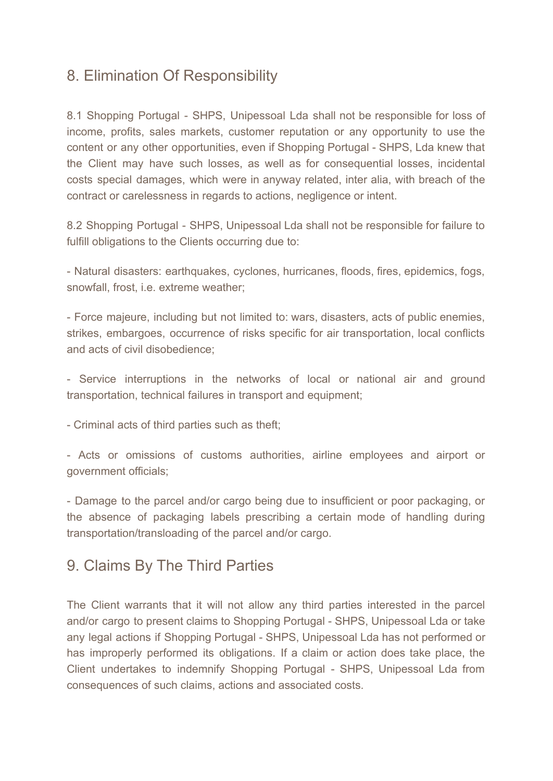### 8. Elimination Of Responsibility

8.1 Shopping Portugal - SHPS, Unipessoal Lda shall not be responsible for loss of income, profits, sales markets, customer reputation or any opportunity to use the content or any other opportunities, even if Shopping Portugal - SHPS, Lda knew that the Client may have such losses, as well as for consequential losses, incidental costs special damages, which were in anyway related, inter alia, with breach of the contract or carelessness in regards to actions, negligence or intent.

8.2 Shopping Portugal - SHPS, Unipessoal Lda shall not be responsible for failure to fulfill obligations to the Clients occurring due to:

- Natural disasters: earthquakes, cyclones, hurricanes, floods, fires, epidemics, fogs, snowfall, frost, i.e. extreme weather;

- Force majeure, including but not limited to: wars, disasters, acts of public enemies, strikes, embargoes, occurrence of risks specific for air transportation, local conflicts and acts of civil disobedience;

- Service interruptions in the networks of local or national air and ground transportation, technical failures in transport and equipment;

- Criminal acts of third parties such as theft;

- Acts or omissions of customs authorities, airline employees and airport or government officials;

- Damage to the parcel and/or cargo being due to insufficient or poor packaging, or the absence of packaging labels prescribing a certain mode of handling during transportation/transloading of the parcel and/or cargo.

#### 9. Claims By The Third Parties

The Client warrants that it will not allow any third parties interested in the parcel and/or cargo to present claims to Shopping Portugal - SHPS, Unipessoal Lda or take any legal actions if Shopping Portugal - SHPS, Unipessoal Lda has not performed or has improperly performed its obligations. If a claim or action does take place, the Client undertakes to indemnify Shopping Portugal - SHPS, Unipessoal Lda from consequences of such claims, actions and associated costs.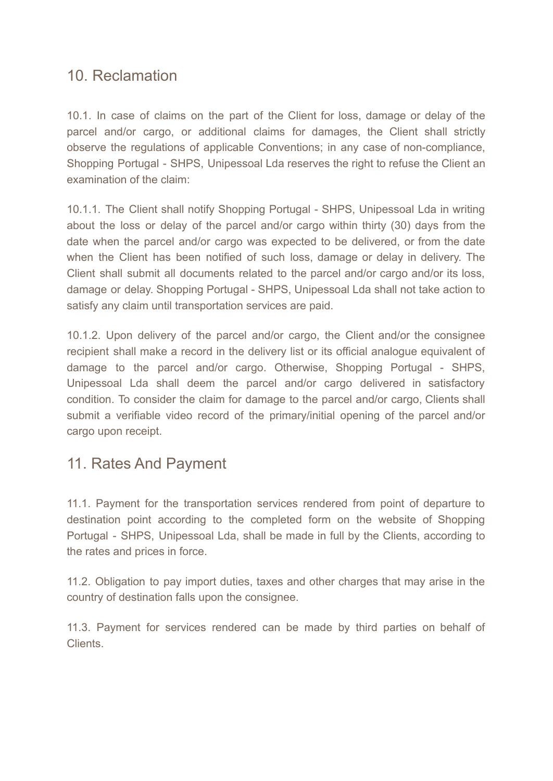#### 10. Reclamation

10.1. In case of claims on the part of the Client for loss, damage or delay of the parcel and/or cargo, or additional claims for damages, the Client shall strictly observe the regulations of applicable Conventions; in any case of non-compliance, Shopping Portugal - SHPS, Unipessoal Lda reserves the right to refuse the Client an examination of the claim:

10.1.1. The Client shall notify Shopping Portugal - SHPS, Unipessoal Lda in writing about the loss or delay of the parcel and/or cargo within thirty (30) days from the date when the parcel and/or cargo was expected to be delivered, or from the date when the Client has been notified of such loss, damage or delay in delivery. The Client shall submit all documents related to the parcel and/or cargo and/or its loss, damage or delay. Shopping Portugal - SHPS, Unipessoal Lda shall not take action to satisfy any claim until transportation services are paid.

10.1.2. Upon delivery of the parcel and/or cargo, the Client and/or the consignee recipient shall make a record in the delivery list or its official analogue equivalent of damage to the parcel and/or cargo. Otherwise, Shopping Portugal - SHPS, Unipessoal Lda shall deem the parcel and/or cargo delivered in satisfactory condition. To consider the claim for damage to the parcel and/or cargo, Clients shall submit a verifiable video record of the primary/initial opening of the parcel and/or cargo upon receipt.

# 11. Rates And Payment

11.1. Payment for the transportation services rendered from point of departure to destination point according to the completed form on the website of Shopping Portugal - SHPS, Unipessoal Lda, shall be made in full by the Clients, according to the rates and prices in force.

11.2. Obligation to pay import duties, taxes and other charges that may arise in the country of destination falls upon the consignee.

11.3. Payment for services rendered can be made by third parties on behalf of Clients.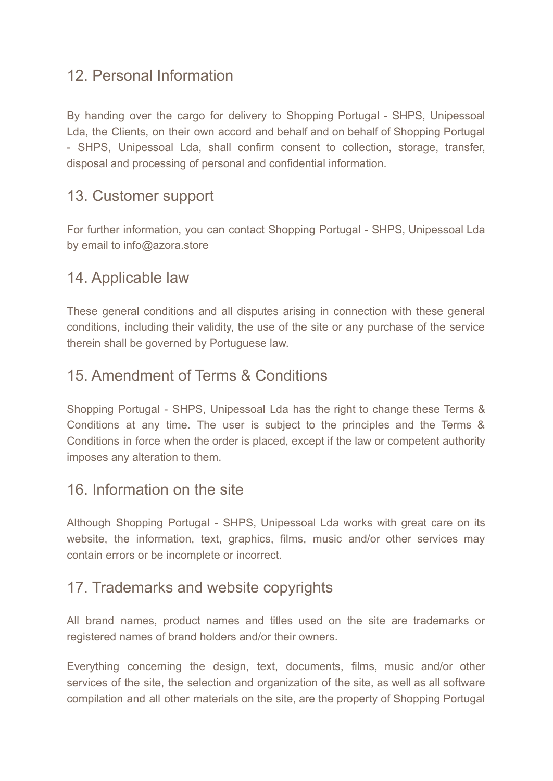### 12. Personal Information

By handing over the cargo for delivery to Shopping Portugal - SHPS, Unipessoal Lda, the Clients, on their own accord and behalf and on behalf of Shopping Portugal - SHPS, Unipessoal Lda, shall confirm consent to collection, storage, transfer, disposal and processing of personal and confidential information.

#### 13. Customer support

For further information, you can contact Shopping Portugal - SHPS, Unipessoal Lda by email to info@azora.store

#### 14. Applicable law

These general conditions and all disputes arising in connection with these general conditions, including their validity, the use of the site or any purchase of the service therein shall be governed by Portuguese law.

#### 15. Amendment of Terms & Conditions

Shopping Portugal - SHPS, Unipessoal Lda has the right to change these Terms & Conditions at any time. The user is subject to the principles and the Terms & Conditions in force when the order is placed, except if the law or competent authority imposes any alteration to them.

#### 16. Information on the site

Although Shopping Portugal - SHPS, Unipessoal Lda works with great care on its website, the information, text, graphics, films, music and/or other services may contain errors or be incomplete or incorrect.

#### 17. Trademarks and website copyrights

All brand names, product names and titles used on the site are trademarks or registered names of brand holders and/or their owners.

Everything concerning the design, text, documents, films, music and/or other services of the site, the selection and organization of the site, as well as all software compilation and all other materials on the site, are the property of Shopping Portugal